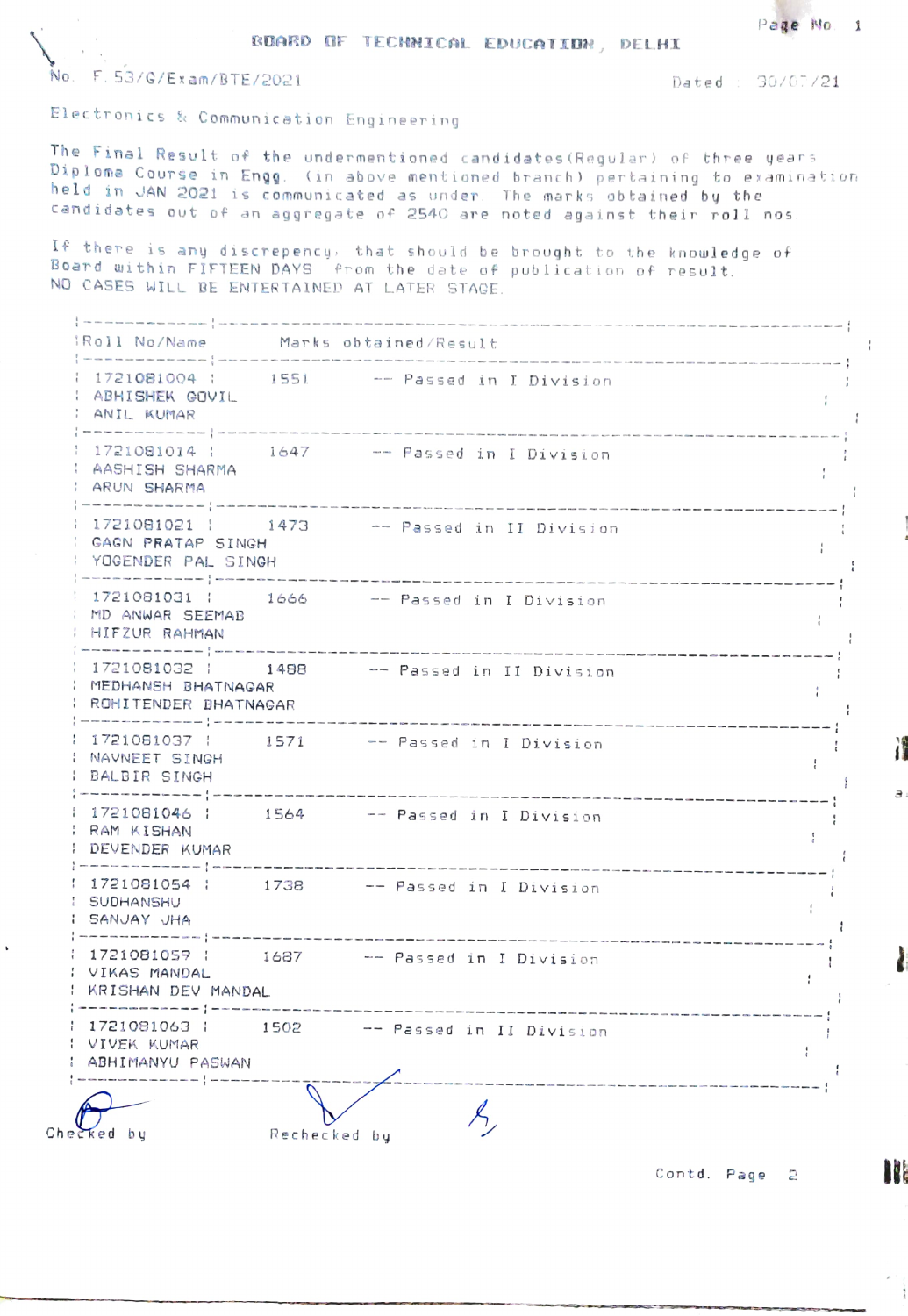Page No. 1

BUARD OF TECHNICAL EDUCATION, DELHI

No F. 53/G/Ex am/BTE/2021 Dated 30/07/21

Electronics & Communication Engineering

The Final Result of the undermentioned candidates (Regular) of three years Diploma Course in Engg. (in above mentioned branch) pertaining to examination held in JAN 2021 is communicated as under The marks obtained by the cendidates out of an aggregate of 2540 are noted against their roll nos

there is any discrepency, that should be brought to the knowledge of 5oard ui thin FIFTEEN DAYS from the date of pub lication of result. NO CASES WILL BE ENTERTAINED AT LATER STAGE.

|-------------|---<br>|Roll No/Name<br>|-------------|---Roll No/Namne Marks obtained/Result  $\frac{1}{2}$  $-$  -  $-$ 1721Q81004 1551 Passed in I Divis ion  $\mathbf{r}$ ABHISHEK COVIL  $\mathbf{f}$ ANIL KUMAR ---  $- -$ 1721 081014 1647 Passed in I Division ÷ AASHISH SHARMA t. | ARUN SHARMA  $-1$ 1 1721081021 | 1473 -- Passed in II Division  $\frac{1}{4}$ CAGN PRATAP SINGH  $\mathbf{r}$ YOCENDER PAL SINGH  $\left\{\begin{array}{c} \begin{array}{c} \begin{array}{c} \end{array} & \text{if $i$ is the number of times in the time of the time.} \end{array}\right\} \begin{array}{c} \begin{array}{c} \end{array} & \begin{array}{c} \end{array} & \begin{array}{c} \end{array} & \begin{array}{c} \end{array} & \begin{array}{c} \end{array} & \begin{array}{c} \end{array} & \begin{array}{c} \end{array} & \begin{array}{c} \end{array} & \begin{array}{c} \end{array} & \begin{array}{c} \end{array} & \begin{array}{c} \end{array} & \begin{array}{c} \end{array}$ 1 1721081031 | 1666 - Passed in I Division  $\cdot$ MD ANWAR SEEMAB  $\cdot$ : HIFZUR RAHMAN<br>:-------------:--1721081032 1488 -- Passed in II Division - !  $\cdot$ MEDHANSH BHATNAGAR ÷ PROHITENDER BHATNAGAR : 1721081037 : 1571 -- Passed in I Division ÷ NAVNEET SI  $\frac{1}{4}$ : BALBIR SINGH<br>:-------------÷ ---------------------1721081046 1 564 Passed in I Division RAM KISHANI  $\mathcal{L}$ DEVENDER KUMAR  $\mathfrak{g}$  $---$ 1721081054 1738 Passed in I Division  $\cdot$ SUDHANSHU  $\mathcal{A}$ : SANJAY JHA<br>:------------- $\cdot$ u t 1721081059 1687 Passed in I Division - 1 VIKAS MANDAL  $\mathcal{L}$ : KRISHAN DEV MANDAL<br>:-------------|-------÷ we are not the contract of 1 1721081063 | 1502 -- Passed in II Division  $\frac{a}{l}$ VIVEK KUMAR  $\frac{1}{4}$ : ABHIMANYU PASWAN Checked by Rechecked by

Contd. Page 2

H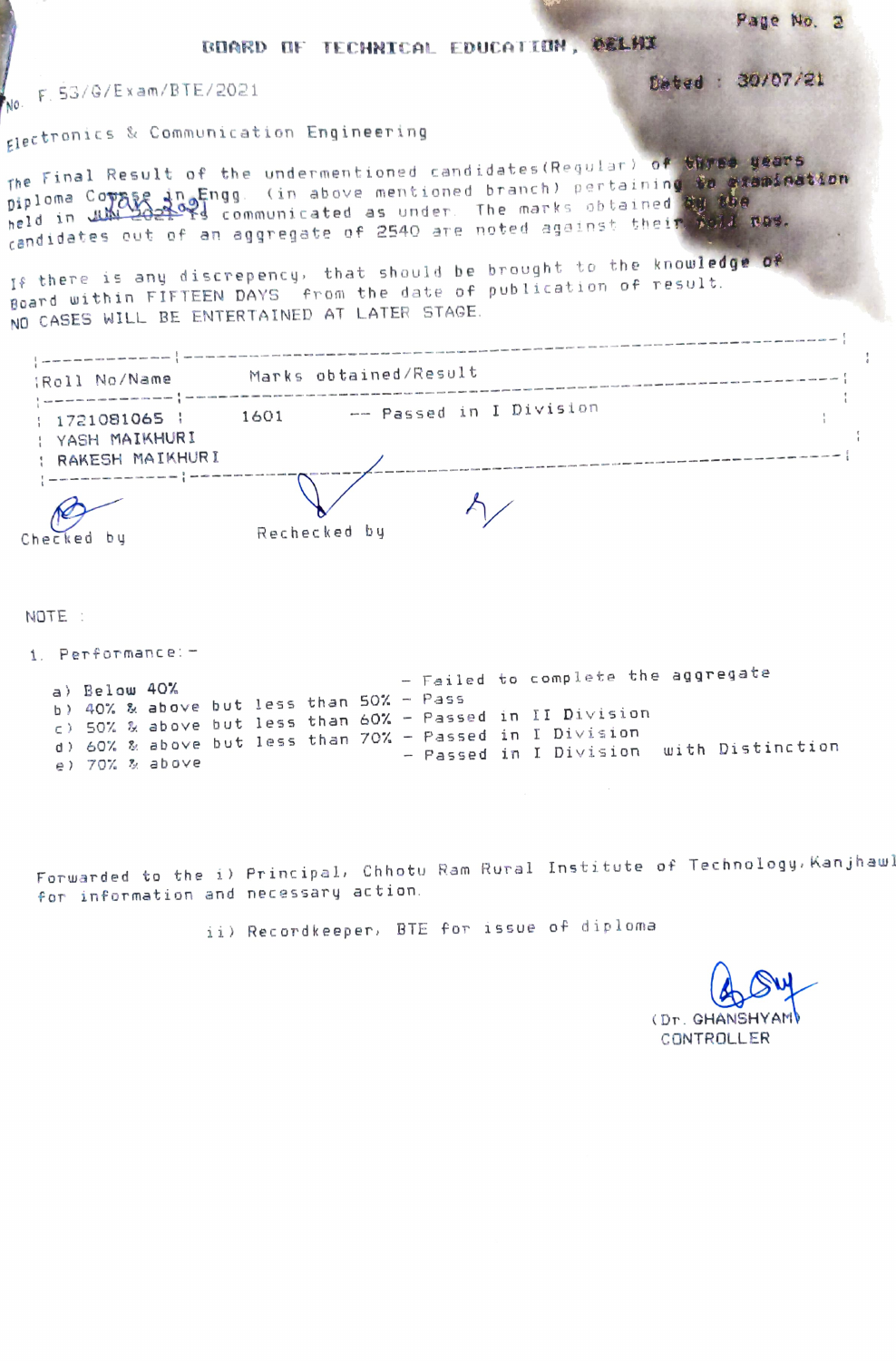BUARD OF TECHNICAL EDUCATION, OELHI

F. 53/G/Exam/BTE/2021 NO.

glectronics & Communication Engineering

The Final Result of the undermentioned candidates (Requiar) of three years piploma Copage in Engg. (in above mentioned branch) pertaining to examination candidates out of an aggregate of 2540 are noted against their poll nos.

If there is any discrepency, that should be brought to the knowledge of Board within FIFTEEN DAYS from the date of publication of result. NO CASES WILL BE ENTERTAINED AT LATER STAGE.

| :Roll No/Name                                      | Marks obtained/Result           |  |
|----------------------------------------------------|---------------------------------|--|
| 1721081065  <br>: YASH MAIKHURI<br>RAKESH MAIKHURI | -- Passed in I Division<br>1601 |  |
| Checked                                            | Rechecked by                    |  |

NOTE:

1. Performance: -

- Failed to complete the aggregate a) Below 40% b) 40% & above but less than 50% - Pass c) 50% & above but less than 60% - Passed in II Division d) 60% & above but less than 70% - Passed in I Division - Passed in I Division with Distinction e) 70% % above

Forwarded to the i) Principal, Chhotu Ram Rural Institute of Technology, Kanjhaw! for information and necessary action.

ii) Recordkeeper, BTE for issue of diploma

(Dr. GHANSH CONTROLLER

Page No. 2

Dated : 30/07/21